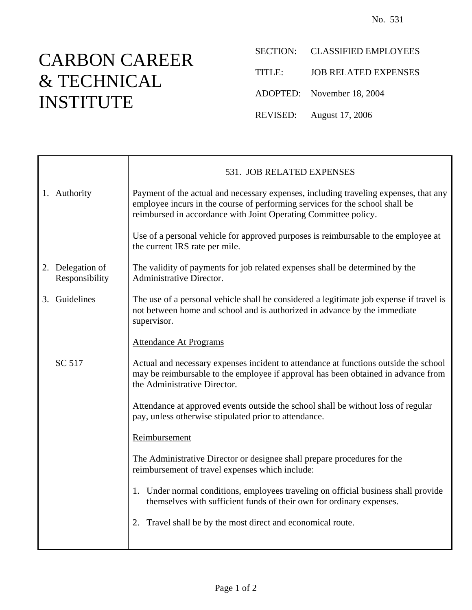## CARBON CAREER & TECHNICAL INSTITUTE

- SECTION: CLASSIFIED EMPLOYEES
- TITLE: JOB RELATED EXPENSES
- ADOPTED: November 18, 2004
- REVISED: August 17, 2006

|                | 531. JOB RELATED EXPENSES                                                                                                                                                                                                               |
|----------------|-----------------------------------------------------------------------------------------------------------------------------------------------------------------------------------------------------------------------------------------|
|                | Payment of the actual and necessary expenses, including traveling expenses, that any<br>employee incurs in the course of performing services for the school shall be<br>reimbursed in accordance with Joint Operating Committee policy. |
|                | Use of a personal vehicle for approved purposes is reimbursable to the employee at<br>the current IRS rate per mile.                                                                                                                    |
| Responsibility | The validity of payments for job related expenses shall be determined by the<br>Administrative Director.                                                                                                                                |
|                | The use of a personal vehicle shall be considered a legitimate job expense if travel is<br>not between home and school and is authorized in advance by the immediate<br>supervisor.                                                     |
|                | <b>Attendance At Programs</b>                                                                                                                                                                                                           |
| SC 517         | Actual and necessary expenses incident to attendance at functions outside the school<br>may be reimbursable to the employee if approval has been obtained in advance from<br>the Administrative Director.                               |
|                | Attendance at approved events outside the school shall be without loss of regular<br>pay, unless otherwise stipulated prior to attendance.                                                                                              |
|                | Reimbursement                                                                                                                                                                                                                           |
|                | The Administrative Director or designee shall prepare procedures for the<br>reimbursement of travel expenses which include:                                                                                                             |
|                | 1. Under normal conditions, employees traveling on official business shall provide<br>themselves with sufficient funds of their own for ordinary expenses.                                                                              |
|                | 2. Travel shall be by the most direct and economical route.                                                                                                                                                                             |
|                | 1. Authority<br>2. Delegation of<br>3. Guidelines                                                                                                                                                                                       |